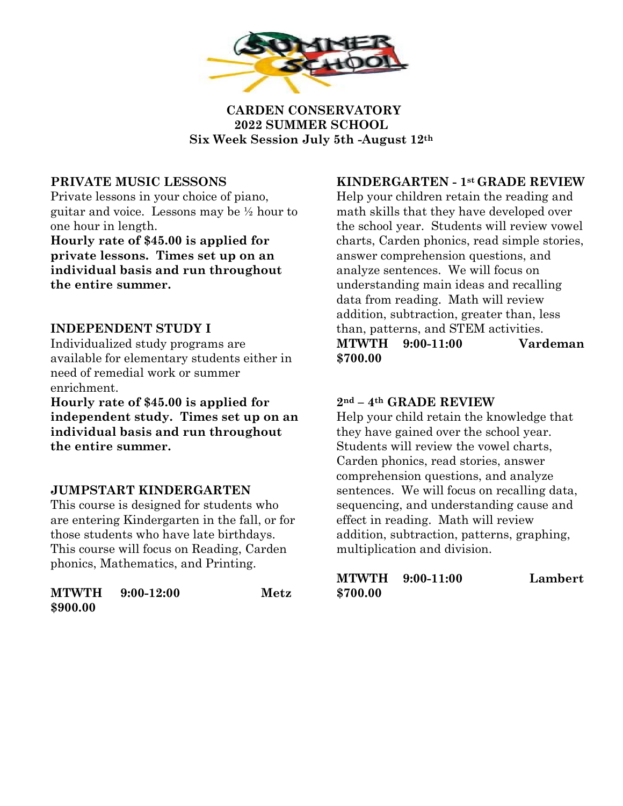

 **CARDEN CONSERVATORY 2022 SUMMER SCHOOL Six Week Session July 5th -August 12th**

# **PRIVATE MUSIC LESSONS**

Private lessons in your choice of piano, guitar and voice. Lessons may be ½ hour to one hour in length.

**Hourly rate of \$45.00 is applied for private lessons. Times set up on an individual basis and run throughout the entire summer.**

# **INDEPENDENT STUDY I**

Individualized study programs are available for elementary students either in need of remedial work or summer enrichment.

**Hourly rate of \$45.00 is applied for independent study. Times set up on an individual basis and run throughout the entire summer.**

## **JUMPSTART KINDERGARTEN**

This course is designed for students who are entering Kindergarten in the fall, or for those students who have late birthdays. This course will focus on Reading, Carden phonics, Mathematics, and Printing.

| <b>MTWTH</b> | $9:00-12:00$ | Metz |
|--------------|--------------|------|
| \$900.00     |              |      |

### **KINDERGARTEN - 1st GRADE REVIEW**

Help your children retain the reading and math skills that they have developed over the school year. Students will review vowel charts, Carden phonics, read simple stories, answer comprehension questions, and analyze sentences. We will focus on understanding main ideas and recalling data from reading. Math will review addition, subtraction, greater than, less than, patterns, and STEM activities. **MTWTH 9:00-11:00 Vardeman \$700.00**

## **2nd – 4th GRADE REVIEW**

Help your child retain the knowledge that they have gained over the school year. Students will review the vowel charts, Carden phonics, read stories, answer comprehension questions, and analyze sentences. We will focus on recalling data, sequencing, and understanding cause and effect in reading. Math will review addition, subtraction, patterns, graphing, multiplication and division.

|          | <b>MTWTH</b> 9:00-11:00 | Lambert |
|----------|-------------------------|---------|
| \$700.00 |                         |         |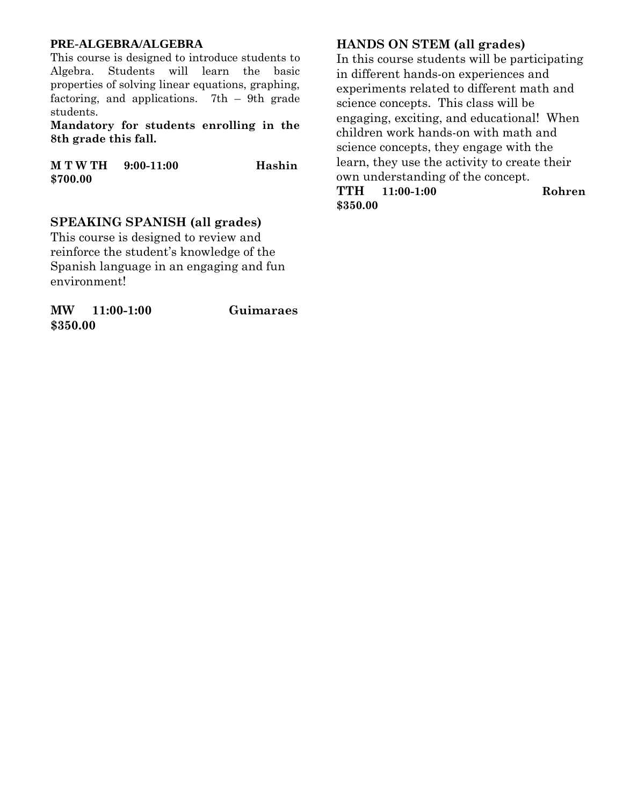#### **PRE-ALGEBRA/ALGEBRA**

This course is designed to introduce students to Algebra. Students will learn the basic properties of solving linear equations, graphing, factoring, and applications. 7th – 9th grade students.

**Mandatory for students enrolling in the 8th grade this fall.** 

**M T W TH 9:00-11:00 Hashin \$700.00** 

### **SPEAKING SPANISH (all grades)**

This course is designed to review and reinforce the student's knowledge of the Spanish language in an engaging and fun environment!

**MW 11:00-1:00 Guimaraes \$350.00**

### **HANDS ON STEM (all grades)**

In this course students will be participating in different hands-on experiences and experiments related to different math and science concepts. This class will be engaging, exciting, and educational! When children work hands-on with math and science concepts, they engage with the learn, they use the activity to create their own understanding of the concept. **TTH 11:00-1:00 Rohren**

**\$350.00**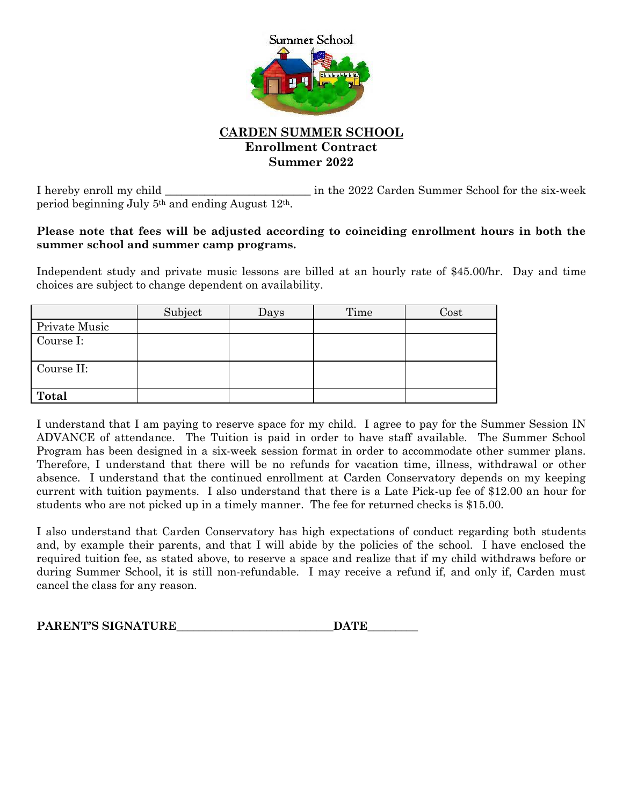

### **CARDEN SUMMER SCHOOL Enrollment Contract Summer 2022**

I hereby enroll my child \_\_\_\_\_\_\_\_\_\_\_\_\_\_\_\_\_\_\_\_\_\_\_\_\_\_ in the 2022 Carden Summer School for the six-week period beginning July 5th and ending August 12th.

#### **Please note that fees will be adjusted according to coinciding enrollment hours in both the summer school and summer camp programs.**

Independent study and private music lessons are billed at an hourly rate of \$45.00/hr. Day and time choices are subject to change dependent on availability.

|                      | Subject | Days | Time | $\rm Cost$ |
|----------------------|---------|------|------|------------|
| <b>Private Music</b> |         |      |      |            |
| Course I:            |         |      |      |            |
|                      |         |      |      |            |
| Course II:           |         |      |      |            |
|                      |         |      |      |            |
| Total                |         |      |      |            |

I understand that I am paying to reserve space for my child. I agree to pay for the Summer Session IN ADVANCE of attendance. The Tuition is paid in order to have staff available. The Summer School Program has been designed in a six-week session format in order to accommodate other summer plans. Therefore, I understand that there will be no refunds for vacation time, illness, withdrawal or other absence. I understand that the continued enrollment at Carden Conservatory depends on my keeping current with tuition payments. I also understand that there is a Late Pick-up fee of \$12.00 an hour for students who are not picked up in a timely manner. The fee for returned checks is \$15.00.

I also understand that Carden Conservatory has high expectations of conduct regarding both students and, by example their parents, and that I will abide by the policies of the school. I have enclosed the required tuition fee, as stated above, to reserve a space and realize that if my child withdraws before or during Summer School, it is still non-refundable. I may receive a refund if, and only if, Carden must cancel the class for any reason.

| PARENT'S SIGNATURE | <b>DATE</b> |
|--------------------|-------------|
|--------------------|-------------|